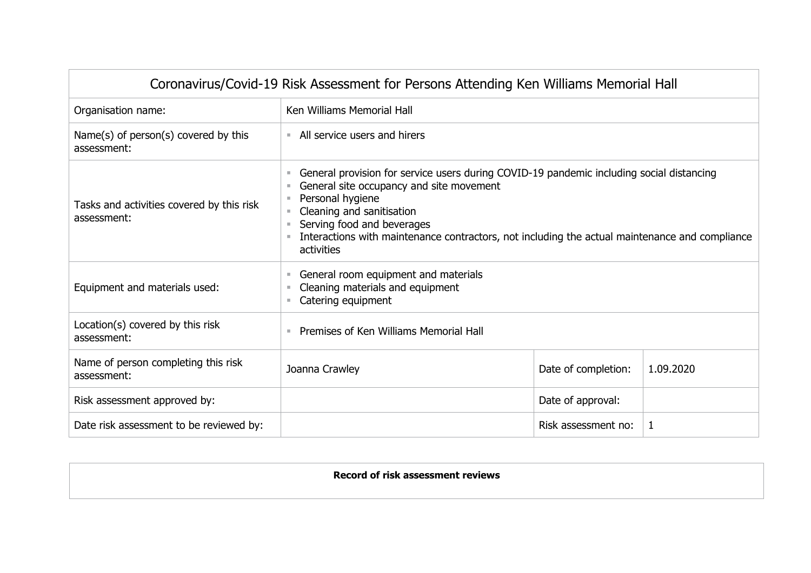| Coronavirus/Covid-19 Risk Assessment for Persons Attending Ken Williams Memorial Hall |                                                                                                                                                                                                                                                                                                                                     |                     |           |  |  |
|---------------------------------------------------------------------------------------|-------------------------------------------------------------------------------------------------------------------------------------------------------------------------------------------------------------------------------------------------------------------------------------------------------------------------------------|---------------------|-----------|--|--|
| Organisation name:                                                                    | Ken Williams Memorial Hall                                                                                                                                                                                                                                                                                                          |                     |           |  |  |
| Name(s) of $person(s)$ covered by this<br>assessment:                                 | • All service users and hirers                                                                                                                                                                                                                                                                                                      |                     |           |  |  |
| Tasks and activities covered by this risk<br>assessment:                              | General provision for service users during COVID-19 pandemic including social distancing<br>General site occupancy and site movement<br>Personal hygiene<br>Cleaning and sanitisation<br>Serving food and beverages<br>Interactions with maintenance contractors, not including the actual maintenance and compliance<br>activities |                     |           |  |  |
| Equipment and materials used:                                                         | General room equipment and materials<br>Cleaning materials and equipment<br>Catering equipment                                                                                                                                                                                                                                      |                     |           |  |  |
| Location(s) covered by this risk<br>assessment:                                       | Premises of Ken Williams Memorial Hall                                                                                                                                                                                                                                                                                              |                     |           |  |  |
| Name of person completing this risk<br>assessment:                                    | Joanna Crawley                                                                                                                                                                                                                                                                                                                      | Date of completion: | 1.09.2020 |  |  |
| Risk assessment approved by:                                                          | Date of approval:                                                                                                                                                                                                                                                                                                                   |                     |           |  |  |
| Date risk assessment to be reviewed by:                                               | Risk assessment no:<br>1                                                                                                                                                                                                                                                                                                            |                     |           |  |  |

**Record of risk assessment reviews**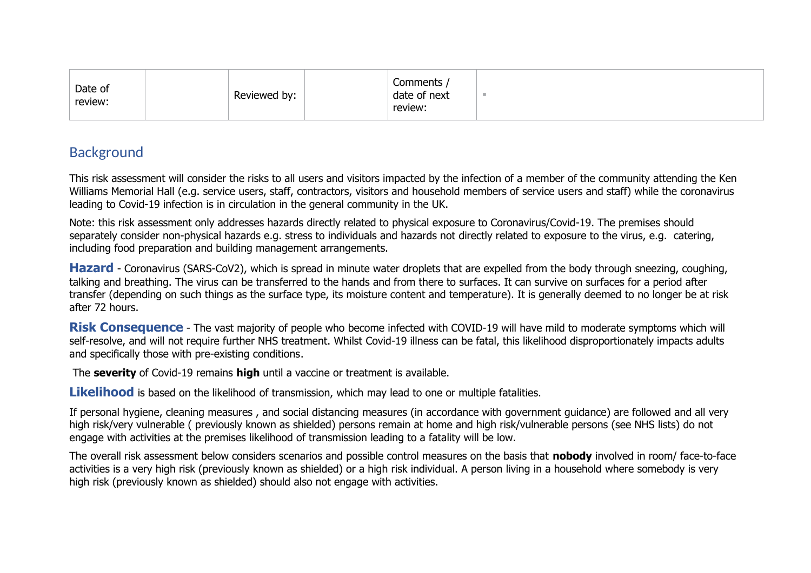| Date of<br>review: | Reviewed by: | Comments<br>date of next<br>review: |  |
|--------------------|--------------|-------------------------------------|--|
|--------------------|--------------|-------------------------------------|--|

## Background

This risk assessment will consider the risks to all users and visitors impacted by the infection of a member of the community attending the Ken Williams Memorial Hall (e.g. service users, staff, contractors, visitors and household members of service users and staff) while the coronavirus leading to Covid-19 infection is in circulation in the general community in the UK.

Note: this risk assessment only addresses hazards directly related to physical exposure to Coronavirus/Covid-19. The premises should separately consider non-physical hazards e.g. stress to individuals and hazards not directly related to exposure to the virus, e.g. catering, including food preparation and building management arrangements.

**Hazard** - Coronavirus (SARS-CoV2), which is spread in minute water droplets that are expelled from the body through sneezing, coughing, talking and breathing. The virus can be transferred to the hands and from there to surfaces. It can survive on surfaces for a period after transfer (depending on such things as the surface type, its moisture content and temperature). It is generally deemed to no longer be at risk after 72 hours.

**Risk Consequence** - The vast majority of people who become infected with COVID-19 will have mild to moderate symptoms which will self-resolve, and will not require further NHS treatment. Whilst Covid-19 illness can be fatal, this likelihood disproportionately impacts adults and specifically those with pre-existing conditions.

The **severity** of Covid-19 remains **high** until a vaccine or treatment is available.

**Likelihood** is based on the likelihood of transmission, which may lead to one or multiple fatalities.

If personal hygiene, cleaning measures , and social distancing measures (in accordance with government guidance) are followed and all very high risk/very vulnerable ( previously known as shielded) persons remain at home and high risk/vulnerable persons (see NHS lists) do not engage with activities at the premises likelihood of transmission leading to a fatality will be low.

The overall risk assessment below considers scenarios and possible control measures on the basis that **nobody** involved in room/ face-to-face activities is a very high risk (previously known as shielded) or a high risk individual. A person living in a household where somebody is very high risk (previously known as shielded) should also not engage with activities.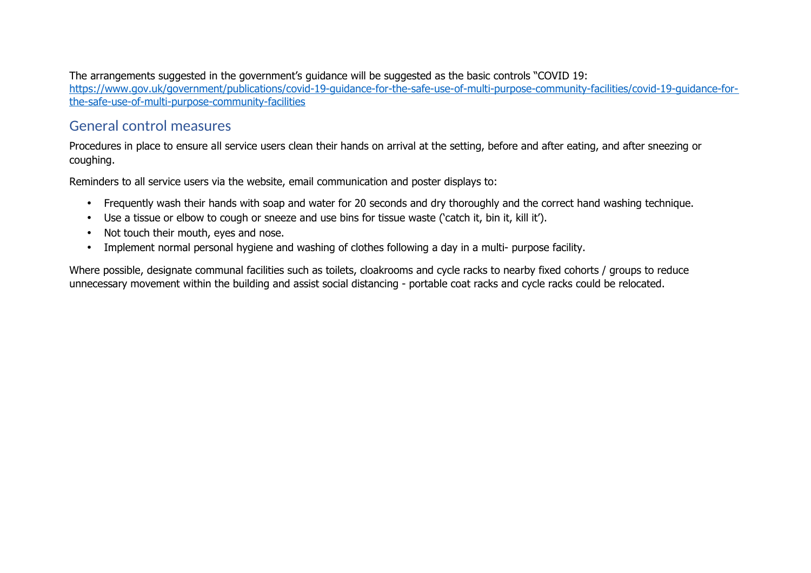The arrangements suggested in the government's guidance will be suggested as the basic controls "COVID 19: [https://www.gov.uk/government/publications/covid-19-guidance-for-the-safe-use-of-multi-purpose-community-facilities/covid-19-guidance-for](https://www.gov.uk/government/publications/covid-19-guidance-for-the-safe-use-of-multi-purpose-community-facilities/covid-19-guidance-for-the-safe-use-of-multi-purpose-community-facilities)[the-safe-use-of-multi-purpose-community-facilities](https://www.gov.uk/government/publications/covid-19-guidance-for-the-safe-use-of-multi-purpose-community-facilities/covid-19-guidance-for-the-safe-use-of-multi-purpose-community-facilities)

## General control measures

Procedures in place to ensure all service users clean their hands on arrival at the setting, before and after eating, and after sneezing or coughing.

Reminders to all service users via the website, email communication and poster displays to:

- Frequently wash their hands with soap and water for 20 seconds and dry thoroughly and the correct hand washing technique.
- Use a tissue or elbow to cough or sneeze and use bins for tissue waste ('catch it, bin it, kill it').
- Not touch their mouth, eyes and nose.
- Implement normal personal hygiene and washing of clothes following a day in a multi- purpose facility.

Where possible, designate communal facilities such as toilets, cloakrooms and cycle racks to nearby fixed cohorts / groups to reduce unnecessary movement within the building and assist social distancing - portable coat racks and cycle racks could be relocated.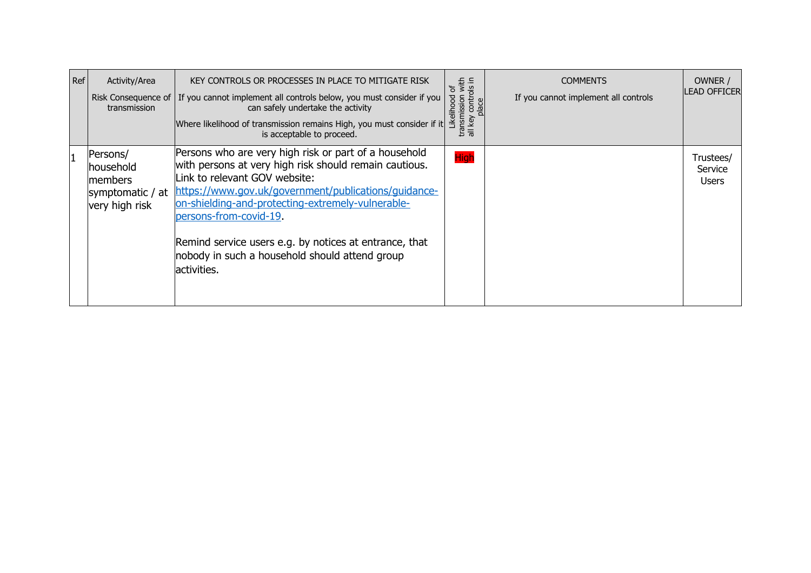| Ref | Activity/Area<br>transmission                                           | KEY CONTROLS OR PROCESSES IN PLACE TO MITIGATE RISK<br>Risk Consequence of $ $ If you cannot implement all controls below, you must consider if you<br>can safely undertake the activity<br>Where likelihood of transmission remains High, you must consider if it<br>is acceptable to proceed.                                                                                                                     | transmission with<br>all key controls in<br>ზ<br>Likelihood<br>place | <b>COMMENTS</b><br>If you cannot implement all controls | OWNER /<br><b>LEAD OFFICER</b>       |
|-----|-------------------------------------------------------------------------|---------------------------------------------------------------------------------------------------------------------------------------------------------------------------------------------------------------------------------------------------------------------------------------------------------------------------------------------------------------------------------------------------------------------|----------------------------------------------------------------------|---------------------------------------------------------|--------------------------------------|
|     | Persons/<br>lhousehold<br>members<br>symptomatic / at<br>very high risk | Persons who are very high risk or part of a household<br>with persons at very high risk should remain cautious.<br>Link to relevant GOV website:<br>https://www.gov.uk/government/publications/guidance-<br>on-shielding-and-protecting-extremely-vulnerable-<br>persons-from-covid-19.<br>Remind service users e.g. by notices at entrance, that<br>nobody in such a household should attend group<br>lactivities. | <b>High</b>                                                          |                                                         | Trustees/<br>Service<br><b>Users</b> |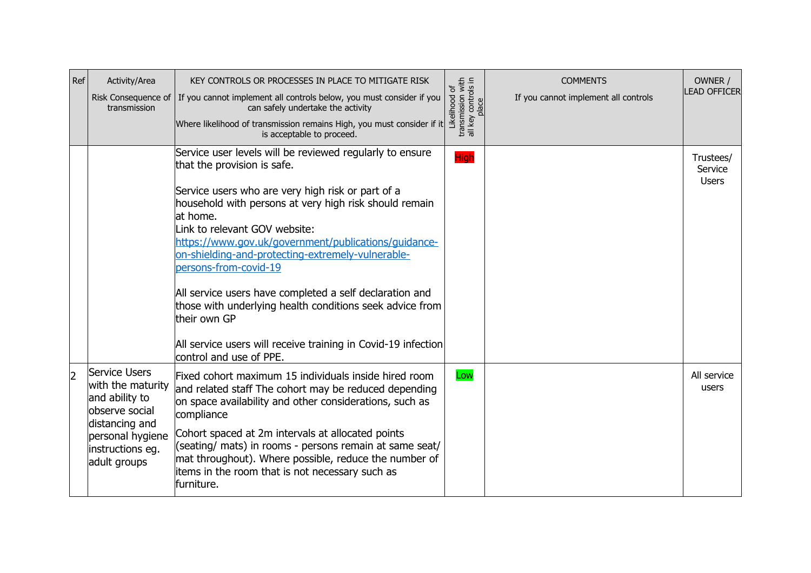| Ref | Activity/Area<br>transmission                                                                                                                    | KEY CONTROLS OR PROCESSES IN PLACE TO MITIGATE RISK<br>Risk Consequence of   If you cannot implement all controls below, you must consider if you<br>can safely undertake the activity<br>Where likelihood of transmission remains High, you must consider if it<br>is acceptable to proceed.                                                                                                                                                                                                                                                                                                                                | Likelihood of<br>transmission with<br>all key controls in<br>place | <b>COMMENTS</b><br>If you cannot implement all controls | OWNER /<br>LEAD OFFICER              |
|-----|--------------------------------------------------------------------------------------------------------------------------------------------------|------------------------------------------------------------------------------------------------------------------------------------------------------------------------------------------------------------------------------------------------------------------------------------------------------------------------------------------------------------------------------------------------------------------------------------------------------------------------------------------------------------------------------------------------------------------------------------------------------------------------------|--------------------------------------------------------------------|---------------------------------------------------------|--------------------------------------|
|     |                                                                                                                                                  | Service user levels will be reviewed regularly to ensure<br>that the provision is safe.<br>Service users who are very high risk or part of a<br>household with persons at very high risk should remain<br>at home.<br>Link to relevant GOV website:<br>https://www.gov.uk/government/publications/guidance-<br>on-shielding-and-protecting-extremely-vulnerable-<br>persons-from-covid-19<br>All service users have completed a self declaration and<br>those with underlying health conditions seek advice from<br>their own GP<br>All service users will receive training in Covid-19 infection<br>control and use of PPE. | High                                                               |                                                         | Trustees/<br>Service<br><b>Users</b> |
| 2   | Service Users<br>with the maturity<br>and ability to<br>observe social<br>distancing and<br>personal hygiene<br>instructions eg.<br>adult groups | Fixed cohort maximum 15 individuals inside hired room<br>and related staff The cohort may be reduced depending<br>on space availability and other considerations, such as<br>compliance<br>Cohort spaced at 2m intervals at allocated points<br>(seating/ mats) in rooms - persons remain at same seat/<br>mat throughout). Where possible, reduce the number of<br>items in the room that is not necessary such as<br>furniture.                                                                                                                                                                                            | Low                                                                |                                                         | All service<br>users                 |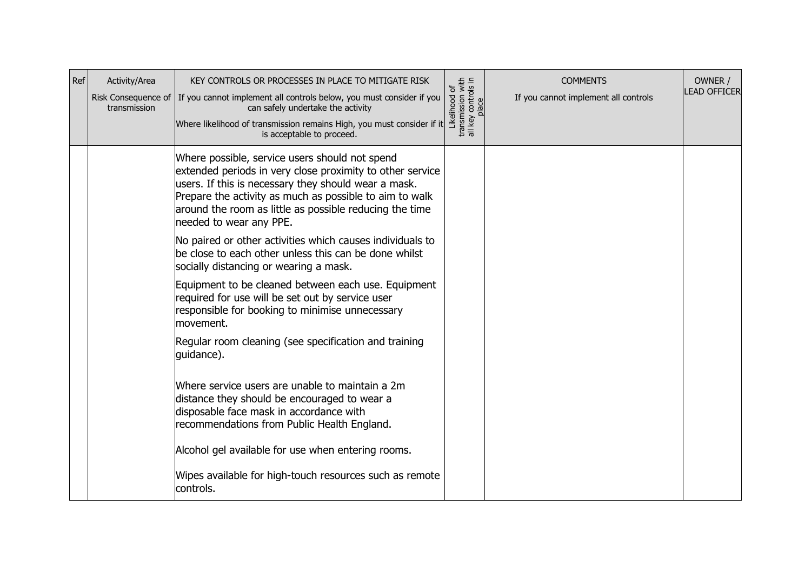| Ref | Activity/Area<br>Risk Consequence of<br>transmission | KEY CONTROLS OR PROCESSES IN PLACE TO MITIGATE RISK<br>If you cannot implement all controls below, you must consider if you<br>can safely undertake the activity<br>Where likelihood of transmission remains High, you must consider if it<br>is acceptable to proceed.                                              | Likelihood of<br>transmission with<br>all key controls in<br>place | <b>COMMENTS</b><br>If you cannot implement all controls | OWNER /<br><b>LEAD OFFICER</b> |
|-----|------------------------------------------------------|----------------------------------------------------------------------------------------------------------------------------------------------------------------------------------------------------------------------------------------------------------------------------------------------------------------------|--------------------------------------------------------------------|---------------------------------------------------------|--------------------------------|
|     |                                                      | Where possible, service users should not spend<br>extended periods in very close proximity to other service<br>users. If this is necessary they should wear a mask.<br>Prepare the activity as much as possible to aim to walk<br>around the room as little as possible reducing the time<br>needed to wear any PPE. |                                                                    |                                                         |                                |
|     |                                                      | No paired or other activities which causes individuals to<br>be close to each other unless this can be done whilst<br>socially distancing or wearing a mask.                                                                                                                                                         |                                                                    |                                                         |                                |
|     |                                                      | Equipment to be cleaned between each use. Equipment<br>required for use will be set out by service user<br>responsible for booking to minimise unnecessary<br>movement.                                                                                                                                              |                                                                    |                                                         |                                |
|     |                                                      | Regular room cleaning (see specification and training<br>quidance).                                                                                                                                                                                                                                                  |                                                                    |                                                         |                                |
|     |                                                      | Where service users are unable to maintain a 2m<br>distance they should be encouraged to wear a<br>disposable face mask in accordance with<br>recommendations from Public Health England.                                                                                                                            |                                                                    |                                                         |                                |
|     |                                                      | Alcohol gel available for use when entering rooms.                                                                                                                                                                                                                                                                   |                                                                    |                                                         |                                |
|     |                                                      | Wipes available for high-touch resources such as remote<br>controls.                                                                                                                                                                                                                                                 |                                                                    |                                                         |                                |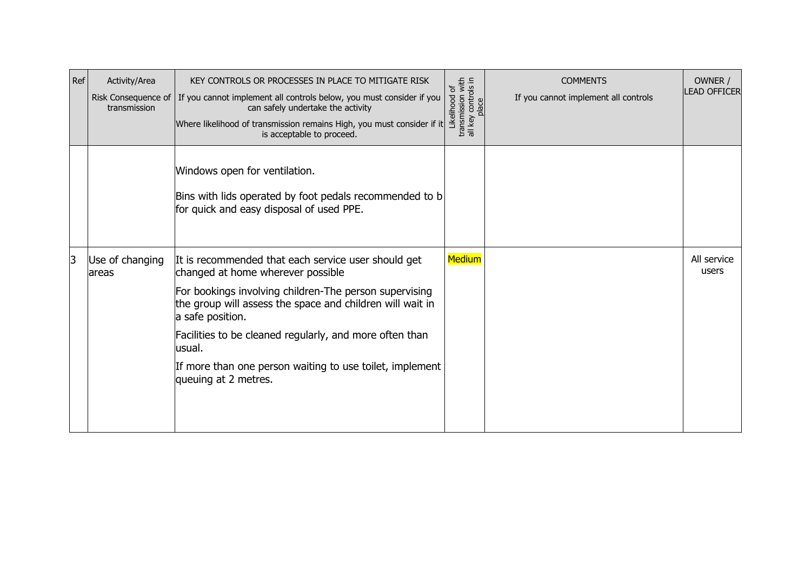| Ref | Activity/Area<br>transmission | KEY CONTROLS OR PROCESSES IN PLACE TO MITIGATE RISK<br>Risk Consequence of $ $ If you cannot implement all controls below, you must consider if you<br>can safely undertake the activity<br>Where likelihood of transmission remains High, you must consider if it<br>is acceptable to proceed.                                                                                               | Likelihood of<br>transmission with<br>all key controls in<br>place | <b>COMMENTS</b><br>If you cannot implement all controls | OWNER /<br><b>LEAD OFFICER</b> |
|-----|-------------------------------|-----------------------------------------------------------------------------------------------------------------------------------------------------------------------------------------------------------------------------------------------------------------------------------------------------------------------------------------------------------------------------------------------|--------------------------------------------------------------------|---------------------------------------------------------|--------------------------------|
|     |                               | Windows open for ventilation.<br>Bins with lids operated by foot pedals recommended to b<br>for quick and easy disposal of used PPE.                                                                                                                                                                                                                                                          |                                                                    |                                                         |                                |
| 3   | Use of changing<br>lareas     | It is recommended that each service user should get<br>changed at home wherever possible<br>For bookings involving children-The person supervising<br>the group will assess the space and children will wait in<br>a safe position.<br>Facilities to be cleaned regularly, and more often than<br>lusual.<br>If more than one person waiting to use toilet, implement<br>queuing at 2 metres. | <b>Medium</b>                                                      |                                                         | All service<br>users           |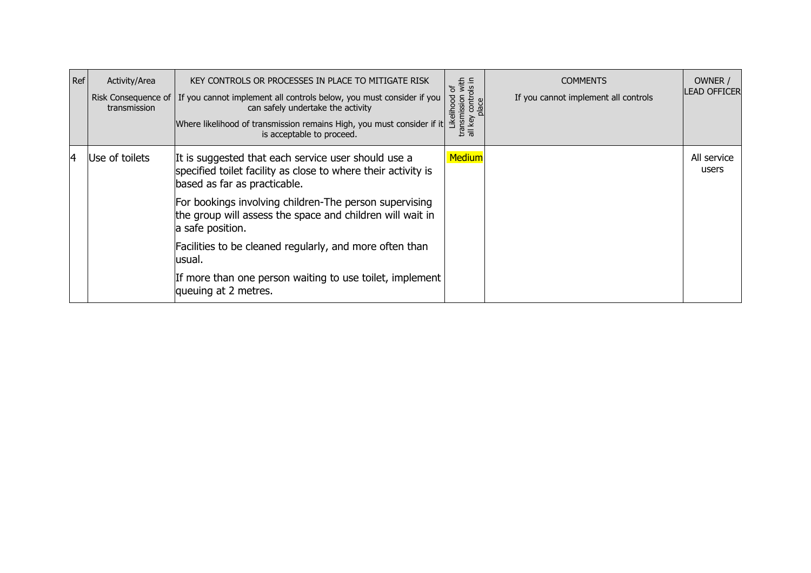| Ref | Activity/Area<br>transmission | KEY CONTROLS OR PROCESSES IN PLACE TO MITIGATE RISK<br>Risk Consequence of   If you cannot implement all controls below, you must consider if you  <br>can safely undertake the activity<br>Where likelihood of transmission remains High, you must consider if it<br>is acceptable to proceed. | transmission with<br>all key controls in<br>Ⴆ<br>Likelihood<br>place | <b>COMMENTS</b><br>If you cannot implement all controls | OWNER /<br><b>ILEAD OFFICER</b> |
|-----|-------------------------------|-------------------------------------------------------------------------------------------------------------------------------------------------------------------------------------------------------------------------------------------------------------------------------------------------|----------------------------------------------------------------------|---------------------------------------------------------|---------------------------------|
| 14  | Use of toilets                | It is suggested that each service user should use a<br>specified toilet facility as close to where their activity is<br>based as far as practicable.                                                                                                                                            | <b>Medium</b>                                                        |                                                         | All service<br>users            |
|     |                               | For bookings involving children-The person supervising<br>the group will assess the space and children will wait in<br>a safe position.                                                                                                                                                         |                                                                      |                                                         |                                 |
|     |                               | Facilities to be cleaned regularly, and more often than<br>usual.                                                                                                                                                                                                                               |                                                                      |                                                         |                                 |
|     |                               | If more than one person waiting to use toilet, implement<br>queuing at 2 metres.                                                                                                                                                                                                                |                                                                      |                                                         |                                 |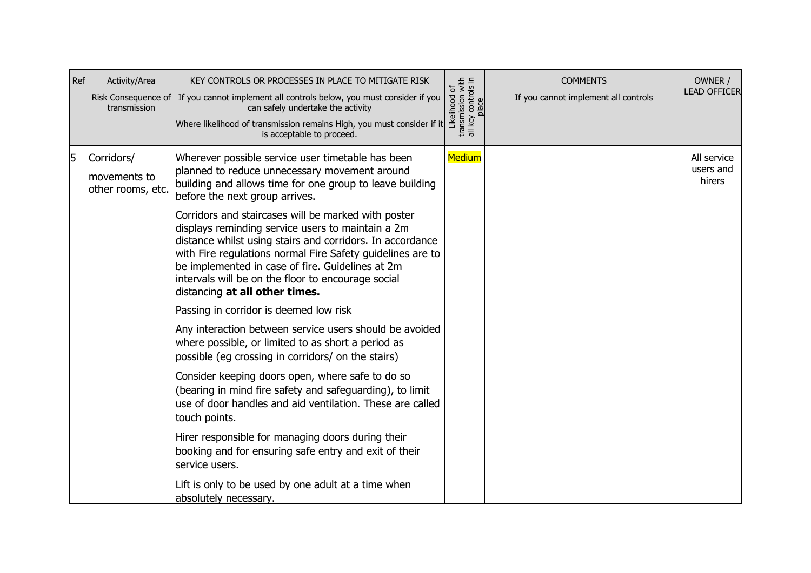| Ref | Activity/Area<br>transmission                   | KEY CONTROLS OR PROCESSES IN PLACE TO MITIGATE RISK<br>Risk Consequence of   If you cannot implement all controls below, you must consider if you<br>can safely undertake the activity<br>Where likelihood of transmission remains High, you must consider if it<br>is acceptable to proceed.                                                                                                                                                                                                                                                                                                                                                                                                                                                                                                                                                                                                                                                                                                                                                                                                                                                                                                                      | Likelihood of<br>transmission with<br>all key controls in<br>place | <b>COMMENTS</b><br>If you cannot implement all controls | OWNER /<br><b>LEAD OFFICER</b>     |
|-----|-------------------------------------------------|--------------------------------------------------------------------------------------------------------------------------------------------------------------------------------------------------------------------------------------------------------------------------------------------------------------------------------------------------------------------------------------------------------------------------------------------------------------------------------------------------------------------------------------------------------------------------------------------------------------------------------------------------------------------------------------------------------------------------------------------------------------------------------------------------------------------------------------------------------------------------------------------------------------------------------------------------------------------------------------------------------------------------------------------------------------------------------------------------------------------------------------------------------------------------------------------------------------------|--------------------------------------------------------------------|---------------------------------------------------------|------------------------------------|
| 5   | Corridors/<br>movements to<br>other rooms, etc. | Wherever possible service user timetable has been<br>planned to reduce unnecessary movement around<br>building and allows time for one group to leave building<br>before the next group arrives.<br>Corridors and staircases will be marked with poster<br>displays reminding service users to maintain a 2m<br>distance whilst using stairs and corridors. In accordance<br>with Fire regulations normal Fire Safety guidelines are to<br>be implemented in case of fire. Guidelines at 2m<br>intervals will be on the floor to encourage social<br>distancing at all other times.<br>Passing in corridor is deemed low risk<br>Any interaction between service users should be avoided<br>where possible, or limited to as short a period as<br>possible (eg crossing in corridors/ on the stairs)<br>Consider keeping doors open, where safe to do so<br>(bearing in mind fire safety and safeguarding), to limit<br>use of door handles and aid ventilation. These are called<br>touch points.<br>Hirer responsible for managing doors during their<br>booking and for ensuring safe entry and exit of their<br>service users.<br>Lift is only to be used by one adult at a time when<br>absolutely necessary. | Medium                                                             |                                                         | All service<br>users and<br>hirers |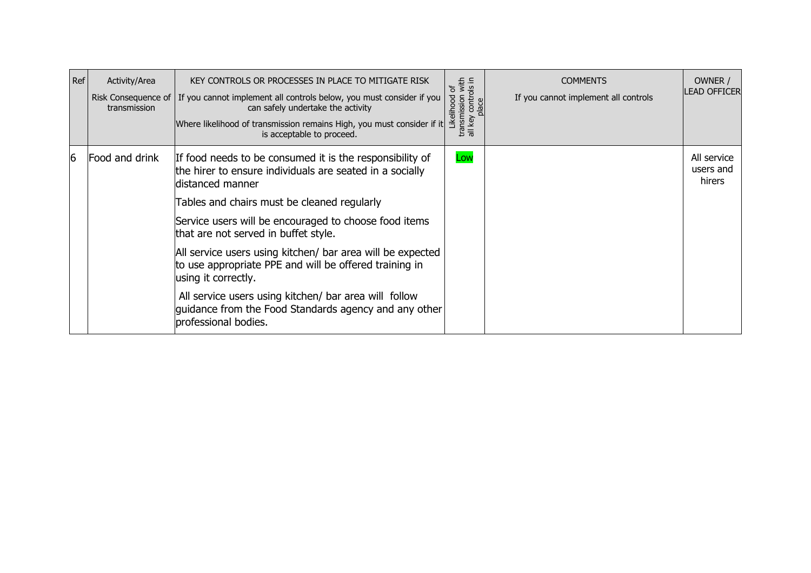| Ref | Activity/Area<br>transmission | KEY CONTROLS OR PROCESSES IN PLACE TO MITIGATE RISK<br>Risk Consequence of   If you cannot implement all controls below, you must consider if you  <br>can safely undertake the activity<br>Where likelihood of transmission remains High, you must consider if it<br>is acceptable to proceed. | Likelihood of<br>transmission with<br>all key controls in<br>place | <b>COMMENTS</b><br>If you cannot implement all controls | OWNER /<br><b>ILEAD OFFICER</b>    |
|-----|-------------------------------|-------------------------------------------------------------------------------------------------------------------------------------------------------------------------------------------------------------------------------------------------------------------------------------------------|--------------------------------------------------------------------|---------------------------------------------------------|------------------------------------|
| 6   | Food and drink                | If food needs to be consumed it is the responsibility of<br>the hirer to ensure individuals are seated in a socially<br>distanced manner<br>Tables and chairs must be cleaned regularly<br>Service users will be encouraged to choose food items<br>that are not served in buffet style.        | Low                                                                |                                                         | All service<br>users and<br>hirers |
|     |                               | All service users using kitchen/ bar area will be expected<br>to use appropriate PPE and will be offered training in<br>using it correctly.<br>All service users using kitchen/ bar area will follow                                                                                            |                                                                    |                                                         |                                    |
|     |                               | quidance from the Food Standards agency and any other<br>professional bodies.                                                                                                                                                                                                                   |                                                                    |                                                         |                                    |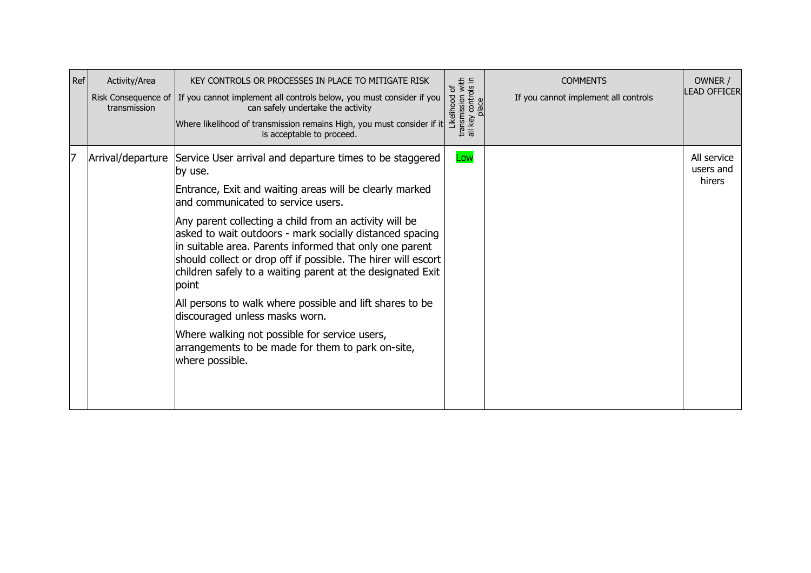| Ref | Activity/Area<br>Risk Consequence of<br>transmission | KEY CONTROLS OR PROCESSES IN PLACE TO MITIGATE RISK<br>If you cannot implement all controls below, you must consider if you<br>can safely undertake the activity<br>Where likelihood of transmission remains High, you must consider if it<br>is acceptable to proceed.                                                                                                                                                                                                                                                                                                                                                                                                                                              | Likelihood of<br>transmission with<br>all key controls in<br>place | <b>COMMENTS</b><br>If you cannot implement all controls | OWNER /<br><b>LEAD OFFICER</b>     |
|-----|------------------------------------------------------|----------------------------------------------------------------------------------------------------------------------------------------------------------------------------------------------------------------------------------------------------------------------------------------------------------------------------------------------------------------------------------------------------------------------------------------------------------------------------------------------------------------------------------------------------------------------------------------------------------------------------------------------------------------------------------------------------------------------|--------------------------------------------------------------------|---------------------------------------------------------|------------------------------------|
| 17  | Arrival/departure                                    | Service User arrival and departure times to be staggered<br>by use.<br>Entrance, Exit and waiting areas will be clearly marked<br>and communicated to service users.<br>Any parent collecting a child from an activity will be<br>asked to wait outdoors - mark socially distanced spacing<br>in suitable area. Parents informed that only one parent<br>should collect or drop off if possible. The hirer will escort<br>children safely to a waiting parent at the designated Exit<br>point<br>All persons to walk where possible and lift shares to be<br>discouraged unless masks worn.<br>Where walking not possible for service users,<br>arrangements to be made for them to park on-site,<br>where possible. | Low                                                                |                                                         | All service<br>users and<br>hirers |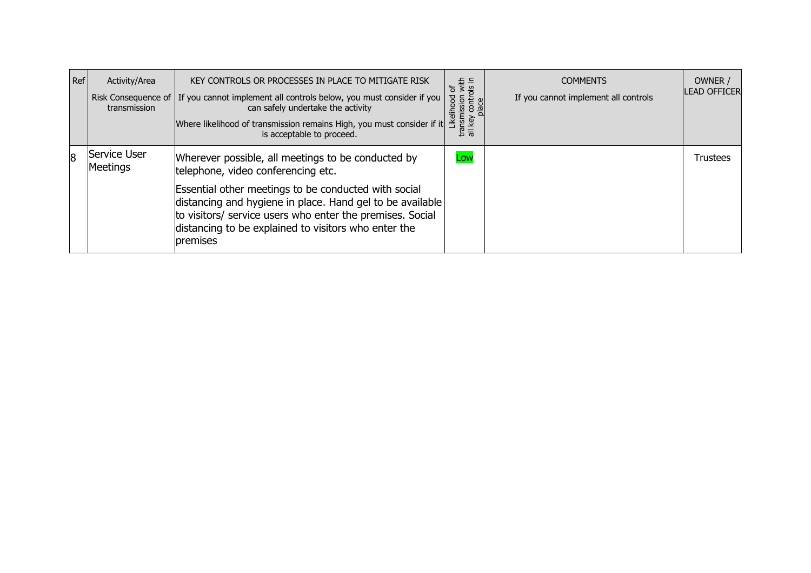| Ref | Activity/Area<br>transmission | KEY CONTROLS OR PROCESSES IN PLACE TO MITIGATE RISK<br>Risk Consequence of   If you cannot implement all controls below, you must consider if you  <br>can safely undertake the activity<br>Where likelihood of transmission remains High, you must consider if it<br>is acceptable to proceed.                                                | iission with<br>controls in<br>৳<br>Likelihood<br>transmission<br>all kev | <b>COMMENTS</b><br>If you cannot implement all controls | OWNER /<br><b>LEAD OFFICER</b> |
|-----|-------------------------------|------------------------------------------------------------------------------------------------------------------------------------------------------------------------------------------------------------------------------------------------------------------------------------------------------------------------------------------------|---------------------------------------------------------------------------|---------------------------------------------------------|--------------------------------|
| 18  | Service User<br>Meetings      | Wherever possible, all meetings to be conducted by<br>telephone, video conferencing etc.<br>Essential other meetings to be conducted with social<br>distancing and hygiene in place. Hand gel to be available<br>to visitors/ service users who enter the premises. Social<br>distancing to be explained to visitors who enter the<br>premises | Low                                                                       |                                                         | Trustees                       |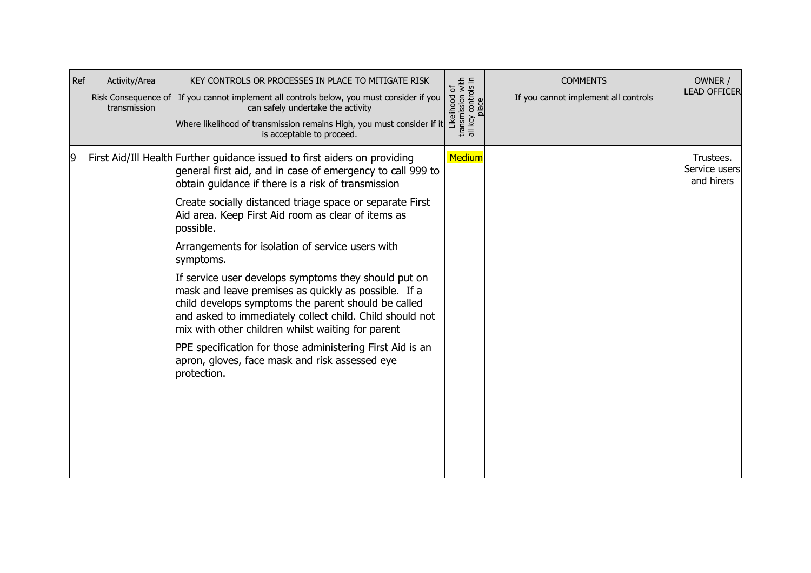| Ref | Activity/Area<br>Risk Consequence of<br>transmission | KEY CONTROLS OR PROCESSES IN PLACE TO MITIGATE RISK<br>If you cannot implement all controls below, you must consider if you<br>can safely undertake the activity<br>Where likelihood of transmission remains High, you must consider if it<br>is acceptable to proceed.                                                                                                                                                                                                                                                                                                                                                                                                                                                                                                                                             | Likelihood of<br>transmission with<br>all key controls in<br>place | <b>COMMENTS</b><br>If you cannot implement all controls | OWNER /<br><b>LEAD OFFICER</b>           |
|-----|------------------------------------------------------|---------------------------------------------------------------------------------------------------------------------------------------------------------------------------------------------------------------------------------------------------------------------------------------------------------------------------------------------------------------------------------------------------------------------------------------------------------------------------------------------------------------------------------------------------------------------------------------------------------------------------------------------------------------------------------------------------------------------------------------------------------------------------------------------------------------------|--------------------------------------------------------------------|---------------------------------------------------------|------------------------------------------|
| 9   |                                                      | First Aid/Ill Health Further guidance issued to first aiders on providing<br>general first aid, and in case of emergency to call 999 to<br>obtain guidance if there is a risk of transmission<br>Create socially distanced triage space or separate First<br>Aid area. Keep First Aid room as clear of items as<br>possible.<br>Arrangements for isolation of service users with<br>symptoms.<br>If service user develops symptoms they should put on<br>mask and leave premises as quickly as possible. If a<br>child develops symptoms the parent should be called<br>and asked to immediately collect child. Child should not<br>mix with other children whilst waiting for parent<br>PPE specification for those administering First Aid is an<br>apron, gloves, face mask and risk assessed eye<br>protection. | Medium                                                             |                                                         | Trustees.<br>Service users<br>and hirers |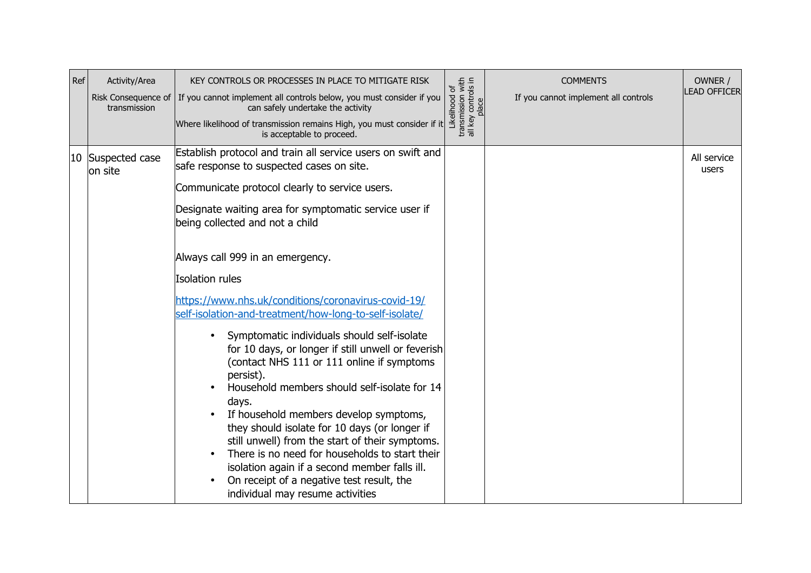| Ref | Activity/Area<br>Risk Consequence of<br>transmission | KEY CONTROLS OR PROCESSES IN PLACE TO MITIGATE RISK<br>If you cannot implement all controls below, you must consider if you<br>can safely undertake the activity<br>Where likelihood of transmission remains High, you must consider if it<br>is acceptable to proceed.                                                                                                                                                                                                                                                                                                                                                                                                                                                                                                                                                                                                                                                                                                                    | transmission with<br>all key controls in<br>place<br>Likelihood of | <b>COMMENTS</b><br>If you cannot implement all controls | OWNER /<br><b>LEAD OFFICER</b> |
|-----|------------------------------------------------------|--------------------------------------------------------------------------------------------------------------------------------------------------------------------------------------------------------------------------------------------------------------------------------------------------------------------------------------------------------------------------------------------------------------------------------------------------------------------------------------------------------------------------------------------------------------------------------------------------------------------------------------------------------------------------------------------------------------------------------------------------------------------------------------------------------------------------------------------------------------------------------------------------------------------------------------------------------------------------------------------|--------------------------------------------------------------------|---------------------------------------------------------|--------------------------------|
|     | 10 Suspected case<br>on site                         | Establish protocol and train all service users on swift and<br>safe response to suspected cases on site.<br>Communicate protocol clearly to service users.<br>Designate waiting area for symptomatic service user if<br>being collected and not a child<br>Always call 999 in an emergency.<br>Isolation rules<br>https://www.nhs.uk/conditions/coronavirus-covid-19/<br>self-isolation-and-treatment/how-long-to-self-isolate/<br>Symptomatic individuals should self-isolate<br>for 10 days, or longer if still unwell or feverish<br>(contact NHS 111 or 111 online if symptoms<br>persist).<br>Household members should self-isolate for 14<br>days.<br>If household members develop symptoms,<br>they should isolate for 10 days (or longer if<br>still unwell) from the start of their symptoms.<br>There is no need for households to start their<br>isolation again if a second member falls ill.<br>On receipt of a negative test result, the<br>individual may resume activities |                                                                    |                                                         | All service<br>users           |